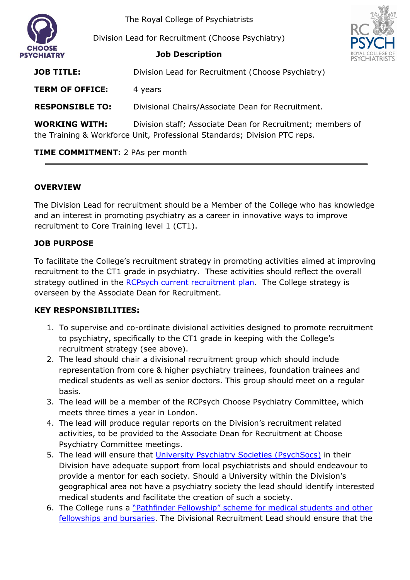

The Royal College of Psychiatrists

Division Lead for Recruitment (Choose Psychiatry)



**Job Description**

| <b>JOB TITLE:</b>      | Division Lead for Recruitment (Choose Psychiatry)                                                                                       |
|------------------------|-----------------------------------------------------------------------------------------------------------------------------------------|
| <b>TERM OF OFFICE:</b> | 4 years                                                                                                                                 |
| <b>RESPONSIBLE TO:</b> | Divisional Chairs/Associate Dean for Recruitment.                                                                                       |
| <b>WORKING WITH:</b>   | Division staff; Associate Dean for Recruitment; members of<br>the Training & Workforce Unit, Professional Standards; Division PTC reps. |

## **TIME COMMITMENT:** 2 PAs per month

## **OVERVIEW**

The Division Lead for recruitment should be a Member of the College who has knowledge and an interest in promoting psychiatry as a career in innovative ways to improve recruitment to Core Training level 1 (CT1).

## **JOB PURPOSE**

To facilitate the College's recruitment strategy in promoting activities aimed at improving recruitment to the CT1 grade in psychiatry. These activities should reflect the overall strategy outlined in the RCPsych current [recruitment plan.](https://www.rcpsych.ac.uk/become-a-psychiatrist/help-us-promote-psychiatry/our-strategy) The College strategy is overseen by the Associate Dean for Recruitment.

## **KEY RESPONSIBILITIES:**

- 1. To supervise and co-ordinate divisional activities designed to promote recruitment to psychiatry, specifically to the CT1 grade in keeping with the College's recruitment strategy (see above).
- 2. The lead should chair a divisional recruitment group which should include representation from core & higher psychiatry trainees, foundation trainees and medical students as well as senior doctors. This group should meet on a regular basis.
- 3. The lead will be a member of the RCPsych Choose Psychiatry Committee, which meets three times a year in London.
- 4. The lead will produce regular reports on the Division's recruitment related activities, to be provided to the Associate Dean for Recruitment at Choose Psychiatry Committee meetings.
- 5. The lead will ensure that [University Psychiatry Societies \(PsychSocs\)](https://www.rcpsych.ac.uk/become-a-psychiatrist/med-students/psychsocs/make-the-most-of-your-psychsoc) in their Division have adequate support from local psychiatrists and should endeavour to provide a mentor for each society. Should a University within the Division's geographical area not have a psychiatry society the lead should identify interested medical students and facilitate the creation of such a society.
- 6. The College runs a ["Pathfinder Fellowship" scheme for medical students](https://www.rcpsych.ac.uk/become-a-psychiatrist/med-students/awards-prizes-and-bursaries/psych-star-scheme) and other [fellowships and bursaries.](https://www.rcpsych.ac.uk/become-a-psychiatrist/med-students/awards-prizes-and-bursaries/psych-star-scheme) The Divisional Recruitment Lead should ensure that the